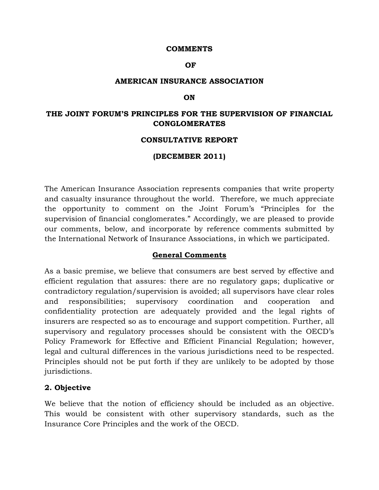#### **COMMENTS**

#### **OF**

#### **AMERICAN INSURANCE ASSOCIATION**

#### **ON**

#### **THE JOINT FORUM'S PRINCIPLES FOR THE SUPERVISION OF FINANCIAL CONGLOMERATES**

#### **CONSULTATIVE REPORT**

#### **(DECEMBER 2011)**

The American Insurance Association represents companies that write property and casualty insurance throughout the world. Therefore, we much appreciate the opportunity to comment on the Joint Forum's "Principles for the supervision of financial conglomerates." Accordingly, we are pleased to provide our comments, below, and incorporate by reference comments submitted by the International Network of Insurance Associations, in which we participated.

#### **General Comments**

As a basic premise, we believe that consumers are best served by effective and efficient regulation that assures: there are no regulatory gaps; duplicative or contradictory regulation/supervision is avoided; all supervisors have clear roles and responsibilities; supervisory coordination and cooperation and confidentiality protection are adequately provided and the legal rights of insurers are respected so as to encourage and support competition. Further, all supervisory and regulatory processes should be consistent with the OECD's Policy Framework for Effective and Efficient Financial Regulation; however, legal and cultural differences in the various jurisdictions need to be respected. Principles should not be put forth if they are unlikely to be adopted by those jurisdictions.

#### **2. Objective**

We believe that the notion of efficiency should be included as an objective. This would be consistent with other supervisory standards, such as the Insurance Core Principles and the work of the OECD.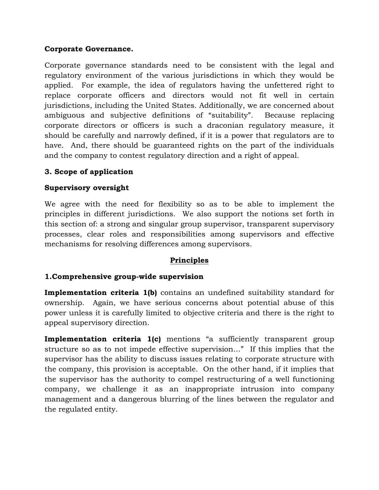### **Corporate Governance.**

Corporate governance standards need to be consistent with the legal and regulatory environment of the various jurisdictions in which they would be applied. For example, the idea of regulators having the unfettered right to replace corporate officers and directors would not fit well in certain jurisdictions, including the United States. Additionally, we are concerned about ambiguous and subjective definitions of "suitability". Because replacing corporate directors or officers is such a draconian regulatory measure, it should be carefully and narrowly defined, if it is a power that regulators are to have. And, there should be guaranteed rights on the part of the individuals and the company to contest regulatory direction and a right of appeal.

### **3. Scope of application**

### **Supervisory oversight**

We agree with the need for flexibility so as to be able to implement the principles in different jurisdictions. We also support the notions set forth in this section of: a strong and singular group supervisor, transparent supervisory processes, clear roles and responsibilities among supervisors and effective mechanisms for resolving differences among supervisors.

## **Principles**

## **1.Comprehensive group-wide supervision**

**Implementation criteria 1(b)** contains an undefined suitability standard for ownership. Again, we have serious concerns about potential abuse of this power unless it is carefully limited to objective criteria and there is the right to appeal supervisory direction.

**Implementation criteria 1(c)** mentions "a sufficiently transparent group structure so as to not impede effective supervision…" If this implies that the supervisor has the ability to discuss issues relating to corporate structure with the company, this provision is acceptable. On the other hand, if it implies that the supervisor has the authority to compel restructuring of a well functioning company, we challenge it as an inappropriate intrusion into company management and a dangerous blurring of the lines between the regulator and the regulated entity.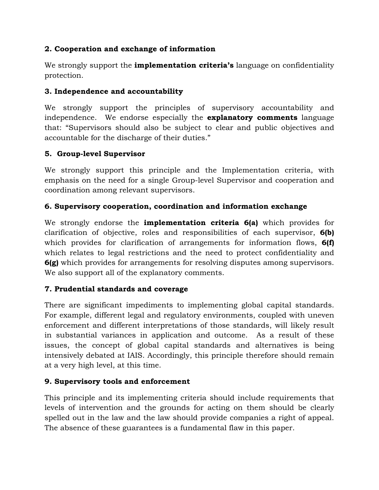# **2. Cooperation and exchange of information**

We strongly support the **implementation criteria's** language on confidentiality protection.

## **3. Independence and accountability**

We strongly support the principles of supervisory accountability and independence. We endorse especially the **explanatory comments** language that: "Supervisors should also be subject to clear and public objectives and accountable for the discharge of their duties."

## **5. Group-level Supervisor**

We strongly support this principle and the Implementation criteria, with emphasis on the need for a single Group-level Supervisor and cooperation and coordination among relevant supervisors.

## **6. Supervisory cooperation, coordination and information exchange**

We strongly endorse the **implementation criteria 6(a)** which provides for clarification of objective, roles and responsibilities of each supervisor, **6(b)** which provides for clarification of arrangements for information flows, **6(f)** which relates to legal restrictions and the need to protect confidentiality and **6(g)** which provides for arrangements for resolving disputes among supervisors. We also support all of the explanatory comments.

# **7. Prudential standards and coverage**

There are significant impediments to implementing global capital standards. For example, different legal and regulatory environments, coupled with uneven enforcement and different interpretations of those standards, will likely result in substantial variances in application and outcome. As a result of these issues, the concept of global capital standards and alternatives is being intensively debated at IAIS. Accordingly, this principle therefore should remain at a very high level, at this time.

## **9. Supervisory tools and enforcement**

This principle and its implementing criteria should include requirements that levels of intervention and the grounds for acting on them should be clearly spelled out in the law and the law should provide companies a right of appeal. The absence of these guarantees is a fundamental flaw in this paper.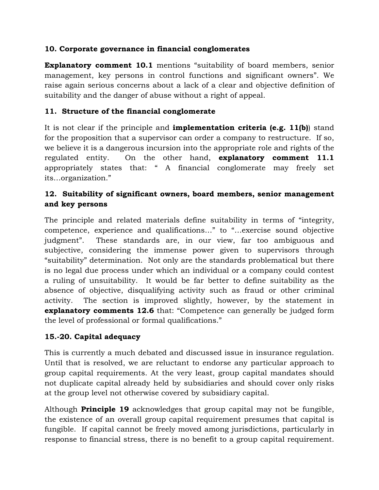## **10. Corporate governance in financial conglomerates**

**Explanatory comment 10.1** mentions "suitability of board members, senior management, key persons in control functions and significant owners". We raise again serious concerns about a lack of a clear and objective definition of suitability and the danger of abuse without a right of appeal.

# **11. Structure of the financial conglomerate**

It is not clear if the principle and **implementation criteria (e.g. 11(b)**) stand for the proposition that a supervisor can order a company to restructure. If so, we believe it is a dangerous incursion into the appropriate role and rights of the regulated entity. On the other hand, **explanatory comment 11.1** appropriately states that: " A financial conglomerate may freely set its…organization."

## **12. Suitability of significant owners, board members, senior management and key persons**

The principle and related materials define suitability in terms of "integrity, competence, experience and qualifications…" to "…exercise sound objective judgment". These standards are, in our view, far too ambiguous and subjective, considering the immense power given to supervisors through "suitability" determination. Not only are the standards problematical but there is no legal due process under which an individual or a company could contest a ruling of unsuitability. It would be far better to define suitability as the absence of objective, disqualifying activity such as fraud or other criminal activity. The section is improved slightly, however, by the statement in **explanatory comments 12.6** that: "Competence can generally be judged form the level of professional or formal qualifications."

# **15.-20. Capital adequacy**

This is currently a much debated and discussed issue in insurance regulation. Until that is resolved, we are reluctant to endorse any particular approach to group capital requirements. At the very least, group capital mandates should not duplicate capital already held by subsidiaries and should cover only risks at the group level not otherwise covered by subsidiary capital.

Although **Principle 19** acknowledges that group capital may not be fungible, the existence of an overall group capital requirement presumes that capital is fungible. If capital cannot be freely moved among jurisdictions, particularly in response to financial stress, there is no benefit to a group capital requirement.